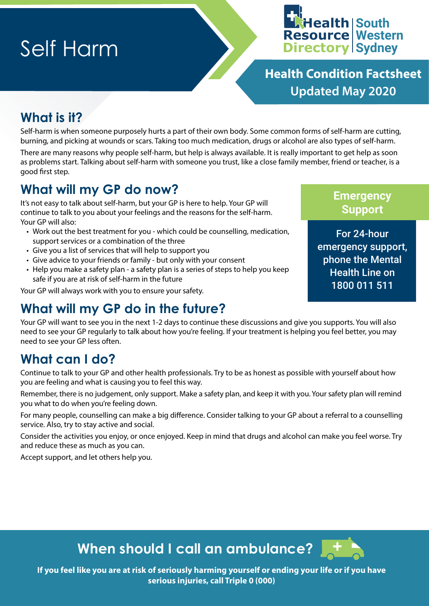# Self Harm



**Health Condition Factsheet Updated May 2020**

### **What is it?**

Self-harm is when someone purposely hurts a part of their own body. Some common forms of self-harm are cutting, burning, and picking at wounds or scars. Taking too much medication, drugs or alcohol are also types of self-harm.

There are many reasons why people self-harm, but help is always available. It is really important to get help as soon as problems start. Talking about self-harm with someone you trust, like a close family member, friend or teacher, is a good first step.

### **What will my GP do now?**

It's not easy to talk about self-harm, but your GP is here to help. Your GP will continue to talk to you about your feelings and the reasons for the self-harm. Your GP will also:

- Work out the best treatment for you which could be counselling, medication, support services or a combination of the three
- Give you a list of services that will help to support you
- Give advice to your friends or family but only with your consent
- Help you make a safety plan a safety plan is a series of steps to help you keep safe if you are at risk of self-harm in the future

Your GP will always work with you to ensure your safety.

### **What will my GP do in the future?**

Your GP will want to see you in the next 1-2 days to continue these discussions and give you supports. You will also need to see your GP regularly to talk about how you're feeling. If your treatment is helping you feel better, you may need to see your GP less often.

### **What can I do?**

Continue to talk to your GP and other health professionals. Try to be as honest as possible with yourself about how you are feeling and what is causing you to feel this way.

Remember, there is no judgement, only support. Make a safety plan, and keep it with you. Your safety plan will remind you what to do when you're feeling down.

For many people, counselling can make a big difference. Consider talking to your GP about a referral to a counselling service. Also, try to stay active and social.

Consider the activities you enjoy, or once enjoyed. Keep in mind that drugs and alcohol can make you feel worse. Try and reduce these as much as you can.

Accept support, and let others help you.

#### **Emergency Support**

For 24-hour emergency support, phone the Mental Health Line on 1800 011 511

**When should I call an ambulance?** 

**If you feel like you are at risk of seriously harming yourself or ending your life or if you have serious injuries, call Triple 0 (000)**